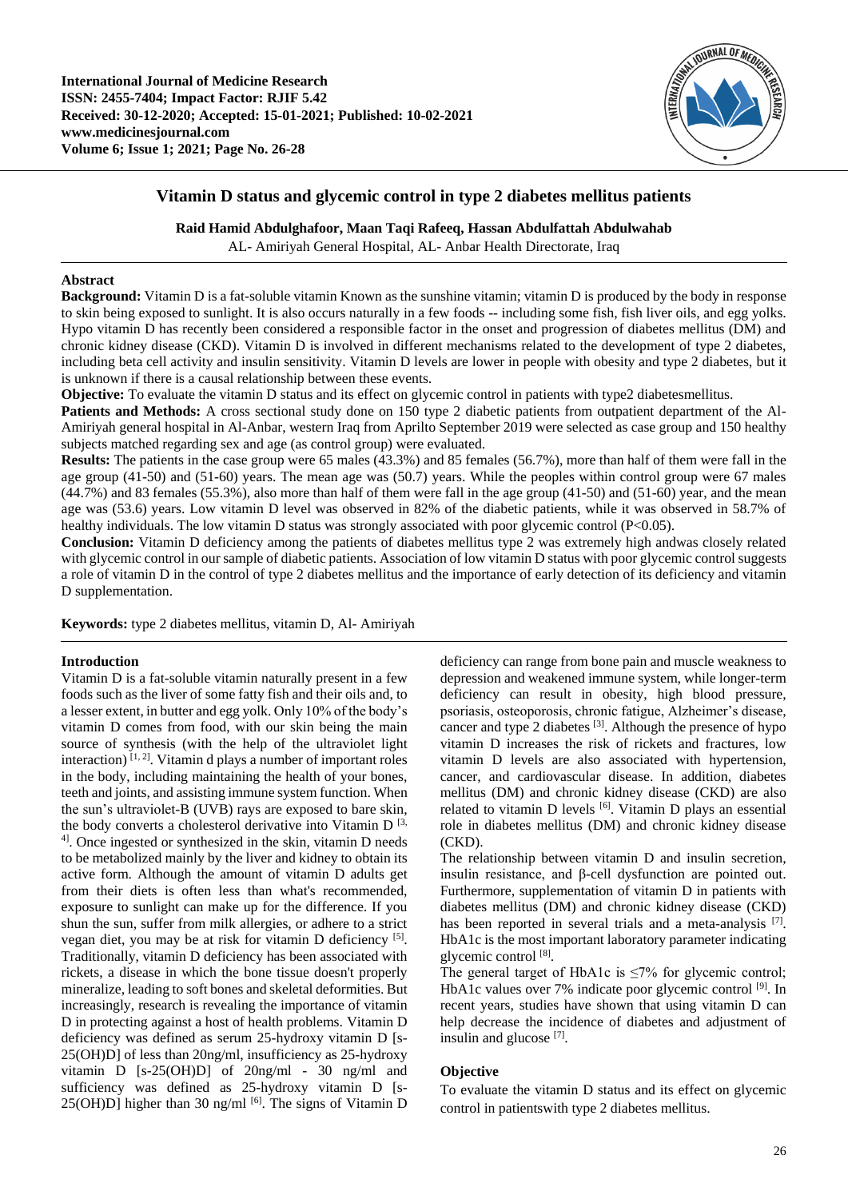

# **Vitamin D status and glycemic control in type 2 diabetes mellitus patients**

**Raid Hamid Abdulghafoor, Maan Taqi Rafeeq, Hassan Abdulfattah Abdulwahab**

AL- Amiriyah General Hospital, AL- Anbar Health Directorate, Iraq

#### **Abstract**

**Background:** Vitamin D is a fat-soluble vitamin Known as the sunshine vitamin; vitamin D is produced by the body in response to skin being exposed to sunlight. It is also occurs naturally in a few foods -- including some fish, fish liver oils, and egg yolks. Hypo vitamin D has recently been considered a responsible factor in the onset and progression of diabetes mellitus (DM) and chronic kidney disease (CKD). Vitamin D is involved in different mechanisms related to the development of type 2 diabetes, including beta cell activity and insulin sensitivity. Vitamin D levels are lower in people with obesity and type 2 diabetes, but it is unknown if there is a causal relationship between these events.

**Objective:** To evaluate the vitamin D status and its effect on glycemic control in patients with type2 diabetesmellitus.

**Patients and Methods:** A cross sectional study done on 150 type 2 diabetic patients from outpatient department of the Al-Amiriyah general hospital in Al-Anbar, western Iraq from Aprilto September 2019 were selected as case group and 150 healthy subjects matched regarding sex and age (as control group) were evaluated.

**Results:** The patients in the case group were 65 males (43.3%) and 85 females (56.7%), more than half of them were fall in the age group (41-50) and (51-60) years. The mean age was (50.7) years. While the peoples within control group were 67 males  $(44.7\%)$  and 83 females  $(55.3\%)$ , also more than half of them were fall in the age group  $(41-50)$  and  $(51-60)$  year, and the mean age was (53.6) years. Low vitamin D level was observed in 82% of the diabetic patients, while it was observed in 58.7% of healthy individuals. The low vitamin D status was strongly associated with poor glycemic control (P<0.05).

**Conclusion:** Vitamin D deficiency among the patients of diabetes mellitus type 2 was extremely high andwas closely related with glycemic control in our sample of diabetic patients. Association of low vitamin D status with poor glycemic control suggests a role of vitamin D in the control of type 2 diabetes mellitus and the importance of early detection of its deficiency and vitamin D supplementation.

**Keywords:** type 2 diabetes mellitus, vitamin D, Al- Amiriyah

#### **Introduction**

Vitamin D is a fat-soluble vitamin naturally present in a few foods such as the liver of some fatty fish and their oils and, to a lesser extent, in butter and egg yolk. Only 10% of the body's vitamin D comes from food, with our skin being the main source of synthesis (with the help of the ultraviolet light interaction)  $[1, 2]$ . Vitamin d plays a number of important roles in the body, including maintaining the health of your bones, teeth and joints, and assisting immune system function. When the sun's ultraviolet-B (UVB) rays are exposed to bare skin, the body converts a cholesterol derivative into Vitamin D  $^{[3]}$ , <sup>4]</sup>. Once ingested or synthesized in the skin, vitamin D needs to be metabolized mainly by the liver and kidney to obtain its active form. Although the amount of vitamin D adults get from their diets is often less than what's recommended, exposure to sunlight can make up for the difference. If you shun the sun, suffer from milk allergies, or adhere to a strict vegan diet, you may be at risk for vitamin D deficiency [5]. Traditionally, vitamin D deficiency has been associated with rickets, a disease in which the bone tissue doesn't properly mineralize, leading to soft bones and skeletal deformities. But increasingly, research is revealing the importance of vitamin D in protecting against a host of health problems. Vitamin D deficiency was defined as serum 25-hydroxy vitamin D [s-25(OH)D] of less than 20ng/ml, insufficiency as 25-hydroxy vitamin D [s-25(OH)D] of 20ng/ml - 30 ng/ml and sufficiency was defined as 25-hydroxy vitamin D [s- $25(OH)D$ ] higher than 30 ng/ml  $[6]$ . The signs of Vitamin D deficiency can range from bone pain and muscle weakness to depression and weakened immune system, while longer-term deficiency can result in obesity, high blood pressure, psoriasis, osteoporosis, chronic fatigue, Alzheimer's disease, cancer and type 2 diabetes <sup>[3]</sup>. Although the presence of hypo vitamin D increases the risk of rickets and fractures, low vitamin D levels are also associated with hypertension, cancer, and cardiovascular disease. In addition, diabetes mellitus (DM) and chronic kidney disease (CKD) are also related to vitamin D levels [6]. Vitamin D plays an essential role in diabetes mellitus (DM) and chronic kidney disease (CKD).

The relationship between vitamin D and insulin secretion, insulin resistance, and β-cell dysfunction are pointed out. Furthermore, supplementation of vitamin D in patients with diabetes mellitus (DM) and chronic kidney disease (CKD) has been reported in several trials and a meta-analysis [7]. HbA1c is the most important laboratory parameter indicating glycemic control [8].

The general target of HbA1c is  $\leq 7\%$  for glycemic control; HbA1c values over 7% indicate poor glycemic control [9]. In recent years, studies have shown that using vitamin D can help decrease the incidence of diabetes and adjustment of insulin and glucose<sup>[7]</sup>.

## **Objective**

To evaluate the vitamin D status and its effect on glycemic control in patientswith type 2 diabetes mellitus.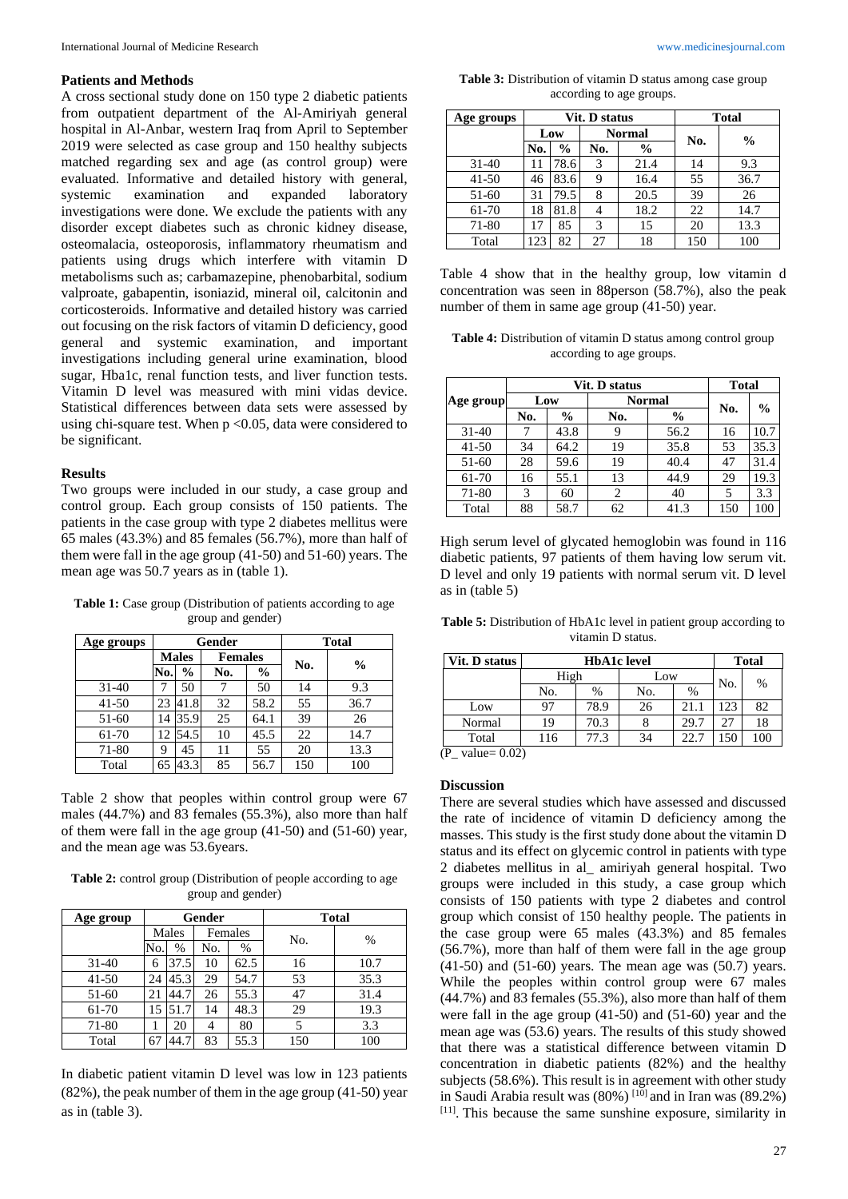#### **Patients and Methods**

A cross sectional study done on 150 type 2 diabetic patients from outpatient department of the Al-Amiriyah general hospital in Al-Anbar, western Iraq from April to September 2019 were selected as case group and 150 healthy subjects matched regarding sex and age (as control group) were evaluated. Informative and detailed history with general, systemic examination and expanded laboratory investigations were done. We exclude the patients with any disorder except diabetes such as chronic kidney disease, osteomalacia, osteoporosis, inflammatory rheumatism and patients using drugs which interfere with vitamin D metabolisms such as; carbamazepine, phenobarbital, sodium valproate, gabapentin, isoniazid, mineral oil, calcitonin and corticosteroids. Informative and detailed history was carried out focusing on the risk factors of vitamin D deficiency, good general and systemic examination, and important investigations including general urine examination, blood sugar, Hba1c, renal function tests, and liver function tests. Vitamin D level was measured with mini vidas device. Statistical differences between data sets were assessed by using chi-square test. When p <0.05, data were considered to be significant.

## **Results**

Two groups were included in our study, a case group and control group. Each group consists of 150 patients. The patients in the case group with type 2 diabetes mellitus were 65 males (43.3%) and 85 females (56.7%), more than half of them were fall in the age group (41-50) and 51-60) years. The mean age was 50.7 years as in (table 1).

**Table 1:** Case group (Distribution of patients according to age group and gender)

| Age groups |              |               | Gender         | <b>Total</b>  |     |               |  |
|------------|--------------|---------------|----------------|---------------|-----|---------------|--|
|            | <b>Males</b> |               | <b>Females</b> |               |     |               |  |
|            | No.          | $\frac{6}{6}$ | No.            | $\frac{6}{6}$ | No. | $\frac{0}{0}$ |  |
| $31-40$    |              | 50            |                | 50            | 14  | 9.3           |  |
| $41 - 50$  | 23           | 41.8          | 32             | 58.2          | 55  | 36.7          |  |
| $51-60$    | 14           | 35.9          | 25             | 64.1          | 39  | 26            |  |
| 61-70      | 12           | 54.5          | 10             | 45.5          | 22  | 14.7          |  |
| 71-80      | 9            | 45            | 11             | 55            | 20  | 13.3          |  |
| Total      | 65           | 43.3          | 85             | 56.7          | 150 | 100           |  |

Table 2 show that peoples within control group were 67 males (44.7%) and 83 females (55.3%), also more than half of them were fall in the age group (41-50) and (51-60) year, and the mean age was 53.6years.

**Table 2:** control group (Distribution of people according to age group and gender)

| Age group | Gender |       |     |         | <b>Total</b> |      |  |
|-----------|--------|-------|-----|---------|--------------|------|--|
|           |        | Males |     | Females | No.          |      |  |
|           | No.    | %     | No. | %       |              | %    |  |
| $31 - 40$ | 6      | 37.5  | 10  | 62.5    | 16           | 10.7 |  |
| $41 - 50$ | 24     | 45.3  | 29  | 54.7    | 53           | 35.3 |  |
| $51-60$   | 21     | 44.7  | 26  | 55.3    | 47           | 31.4 |  |
| 61-70     | 15     | 51.7  | 14  | 48.3    | 29           | 19.3 |  |
| 71-80     |        | 20    |     | 80      |              | 3.3  |  |
| Total     |        | 44.7  | 83  | 55.3    | 150          | 100  |  |

In diabetic patient vitamin D level was low in 123 patients (82%), the peak number of them in the age group (41-50) year as in (table 3).

**Table 3:** Distribution of vitamin D status among case group according to age groups.

| Age groups |     |               | Vit. D status | <b>Total</b>  |     |               |  |
|------------|-----|---------------|---------------|---------------|-----|---------------|--|
|            | Low |               |               | <b>Normal</b> | No. | $\frac{0}{0}$ |  |
|            | No. | $\frac{6}{6}$ | No.           | $\frac{6}{6}$ |     |               |  |
| $31 - 40$  |     | 78.6          | 3             | 21.4          | 14  | 9.3           |  |
| $41 - 50$  | 46  | 83.6          | 9             | 16.4          | 55  | 36.7          |  |
| 51-60      | 31  | 79.5          | 8             | 20.5          | 39  | 26            |  |
| 61-70      | 18  | 81.8          |               | 18.2          | 22  | 14.7          |  |
| 71-80      | 17  | 85            | 3             | 15            | 20  | 13.3          |  |
| Total      | 123 | 82            | 27            | 18            | 150 | 100           |  |

Table 4 show that in the healthy group, low vitamin d concentration was seen in 88person (58.7%), also the peak number of them in same age group (41-50) year.

**Table 4:** Distribution of vitamin D status among control group according to age groups.

|           |     | <b>Total</b>  |               |               |               |      |
|-----------|-----|---------------|---------------|---------------|---------------|------|
| Age group | Low |               | <b>Normal</b> | No.           | $\frac{6}{9}$ |      |
|           | No. | $\frac{6}{9}$ | No.           | $\frac{6}{6}$ |               |      |
| $31 - 40$ | 7   | 43.8          | 9             | 56.2          | 16            | 10.7 |
| $41 - 50$ | 34  | 64.2          | 19            | 35.8          | 53            | 35.3 |
| $51-60$   | 28  | 59.6          | 19            | 40.4          | 47            | 31.4 |
| 61-70     | 16  | 55.1          | 13            | 44.9          | 29            | 19.3 |
| 71-80     | 3   | 60            | 2             | 40            | 5             | 3.3  |
| Total     | 88  | 58.7          | 62            | 41.3          | 150           | 100  |

High serum level of glycated hemoglobin was found in 116 diabetic patients, 97 patients of them having low serum vit. D level and only 19 patients with normal serum vit. D level as in (table 5)

**Table 5:** Distribution of HbA1c level in patient group according to vitamin D status.

| Vit. D status                        |      | <b>Total</b> |     |      |     |     |
|--------------------------------------|------|--------------|-----|------|-----|-----|
|                                      | High |              | Low |      | No. | %   |
|                                      | No.  | $\%$         | No. | %    |     |     |
| Low                                  | 97   | 78.9         | 26  | 21.1 | 123 | 82  |
| Normal                               | 19   | 70.3         |     | 29.7 | 27  | 18  |
| Total                                | 116  | 77.3         | 34  | 22.7 | 150 | 100 |
| ∕D<br>$val_{\text{max}} \cap \Omega$ |      |              |     |      |     |     |

(P\_ value= 0.02)

## **Discussion**

There are several studies which have assessed and discussed the rate of incidence of vitamin D deficiency among the masses. This study is the first study done about the vitamin D status and its effect on glycemic control in patients with type 2 diabetes mellitus in al\_ amiriyah general hospital. Two groups were included in this study, a case group which consists of 150 patients with type 2 diabetes and control group which consist of 150 healthy people. The patients in the case group were 65 males (43.3%) and 85 females (56.7%), more than half of them were fall in the age group  $(41-50)$  and  $(51-60)$  years. The mean age was  $(50.7)$  years. While the peoples within control group were 67 males (44.7%) and 83 females (55.3%), also more than half of them were fall in the age group (41-50) and (51-60) year and the mean age was (53.6) years. The results of this study showed that there was a statistical difference between vitamin D concentration in diabetic patients (82%) and the healthy subjects (58.6%). This result is in agreement with other study in Saudi Arabia result was (80%) [10] and in Iran was (89.2%) [11]. This because the same sunshine exposure, similarity in